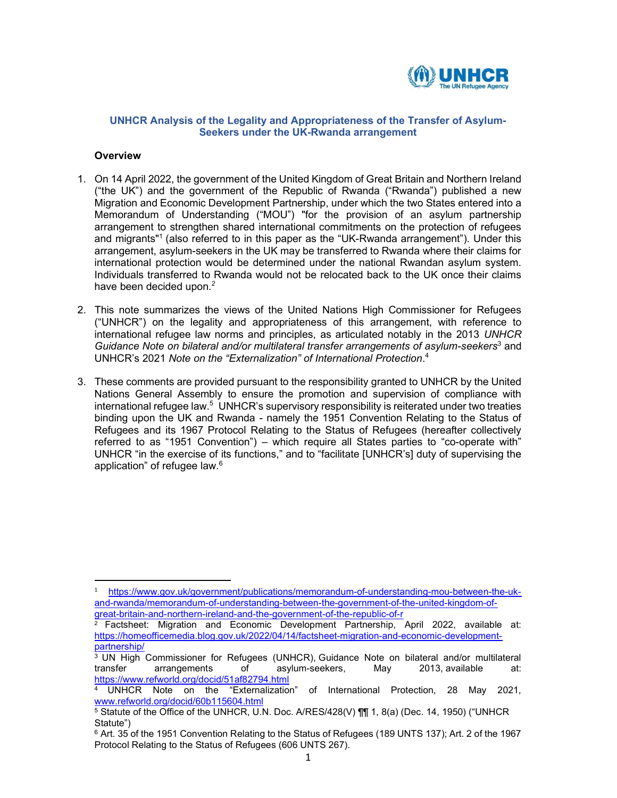

## UNHCR Analysis of the Legality and Appropriateness of the Transfer of Asylum-Seekers under the UK-Rwanda arrangement

#### **Overview**

- 1. On 14 April 2022, the government of the United Kingdom of Great Britain and Northern Ireland ("the UK") and the government of the Republic of Rwanda ("Rwanda") published a new Migration and Economic Development Partnership, under which the two States entered into a Memorandum of Understanding ("MOU") "for the provision of an asylum partnership arrangement to strengthen shared international commitments on the protection of refugees and migrants"1 (also referred to in this paper as the "UK-Rwanda arrangement"). Under this arrangement, asylum-seekers in the UK may be transferred to Rwanda where their claims for international protection would be determined under the national Rwandan asylum system. Individuals transferred to Rwanda would not be relocated back to the UK once their claims have been decided upon. $^2$
- 2. This note summarizes the views of the United Nations High Commissioner for Refugees ("UNHCR") on the legality and appropriateness of this arrangement, with reference to international refugee law norms and principles, as articulated notably in the 2013 UNHCR Guidance Note on bilateral and/or multilateral transfer arrangements of asylum-seekers<sup>3</sup> and UNHCR's 2021 Note on the "Externalization" of International Protection. 4
- 3. These comments are provided pursuant to the responsibility granted to UNHCR by the United Nations General Assembly to ensure the promotion and supervision of compliance with international refugee law.<sup>5</sup> UNHCR's supervisory responsibility is reiterated under two treaties binding upon the UK and Rwanda - namely the 1951 Convention Relating to the Status of Refugees and its 1967 Protocol Relating to the Status of Refugees (hereafter collectively referred to as "1951 Convention") – which require all States parties to "co-operate with" UNHCR "in the exercise of its functions," and to "facilitate [UNHCR's] duty of supervising the application" of refugee law.<sup>6</sup>

<sup>1</sup> https://www.gov.uk/government/publications/memorandum-of-understanding-mou-between-the-ukand-rwanda/memorandum-of-understanding-between-the-government-of-the-united-kingdom-ofgreat-britain-and-northern-ireland-and-the-government-of-the-republic-of-r

<sup>2</sup> Factsheet: Migration and Economic Development Partnership, April 2022, available at: https://homeofficemedia.blog.gov.uk/2022/04/14/factsheet-migration-and-economic-developmentpartnership/

<sup>3</sup> UN High Commissioner for Refugees (UNHCR), Guidance Note on bilateral and/or multilateral transfer arrangements of asylum-seekers, May 2013, available at: https://www.refworld.org/docid/51af82794.html

<sup>4</sup> UNHCR Note on the "Externalization" of International Protection, 28 May 2021, www.refworld.org/docid/60b115604.html

 $^5$  Statute of the Office of the UNHCR, U.N. Doc. A/RES/428(V) ¶¶ 1, 8(a) (Dec. 14, 1950) ("UNHCR Statute")

 $^6$  Art. 35 of the 1951 Convention Relating to the Status of Refugees (189 UNTS 137); Art. 2 of the 1967  $\,$ Protocol Relating to the Status of Refugees (606 UNTS 267).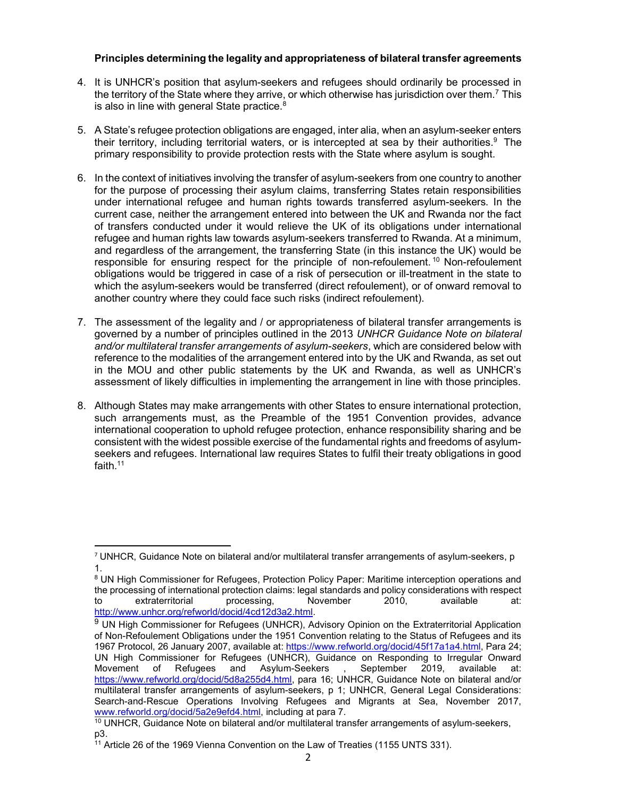# Principles determining the legality and appropriateness of bilateral transfer agreements

- 4. It is UNHCR's position that asylum-seekers and refugees should ordinarily be processed in the territory of the State where they arrive, or which otherwise has jurisdiction over them.<sup>7</sup> This is also in line with general State practice. $8$
- 5. A State's refugee protection obligations are engaged, inter alia, when an asylum-seeker enters their territory, including territorial waters, or is intercepted at sea by their authorities.<sup>9</sup> The primary responsibility to provide protection rests with the State where asylum is sought.
- 6. In the context of initiatives involving the transfer of asylum-seekers from one country to another for the purpose of processing their asylum claims, transferring States retain responsibilities under international refugee and human rights towards transferred asylum-seekers. In the current case, neither the arrangement entered into between the UK and Rwanda nor the fact of transfers conducted under it would relieve the UK of its obligations under international refugee and human rights law towards asylum-seekers transferred to Rwanda. At a minimum, and regardless of the arrangement, the transferring State (in this instance the UK) would be responsible for ensuring respect for the principle of non-refoulement.<sup>10</sup> Non-refoulement obligations would be triggered in case of a risk of persecution or ill-treatment in the state to which the asylum-seekers would be transferred (direct refoulement), or of onward removal to another country where they could face such risks (indirect refoulement).
- 7. The assessment of the legality and / or appropriateness of bilateral transfer arrangements is governed by a number of principles outlined in the 2013 UNHCR Guidance Note on bilateral and/or multilateral transfer arrangements of asylum-seekers, which are considered below with reference to the modalities of the arrangement entered into by the UK and Rwanda, as set out in the MOU and other public statements by the UK and Rwanda, as well as UNHCR's assessment of likely difficulties in implementing the arrangement in line with those principles.
- 8. Although States may make arrangements with other States to ensure international protection, such arrangements must, as the Preamble of the 1951 Convention provides, advance international cooperation to uphold refugee protection, enhance responsibility sharing and be consistent with the widest possible exercise of the fundamental rights and freedoms of asylumseekers and refugees. International law requires States to fulfil their treaty obligations in good faith.<sup>11</sup>

 $7$  UNHCR, Guidance Note on bilateral and/or multilateral transfer arrangements of asylum-seekers, p 1.

<sup>&</sup>lt;sup>8</sup> UN High Commissioner for Refugees, Protection Policy Paper: Maritime interception operations and the processing of international protection claims: legal standards and policy considerations with respect to extraterritorial processing, November 2010, available at: http://www.unhcr.org/refworld/docid/4cd12d3a2.html.

<sup>&</sup>lt;sup>9</sup> UN High Commissioner for Refugees (UNHCR), Advisory Opinion on the Extraterritorial Application of Non-Refoulement Obligations under the 1951 Convention relating to the Status of Refugees and its 1967 Protocol, 26 January 2007, available at: https://www.refworld.org/docid/45f17a1a4.html, Para 24; UN High Commissioner for Refugees (UNHCR), Guidance on Responding to Irregular Onward Movement of Refugees and Asylum-Seekers , September 2019, available at: https://www.refworld.org/docid/5d8a255d4.html, para 16; UNHCR, Guidance Note on bilateral and/or multilateral transfer arrangements of asylum-seekers, p 1; UNHCR, General Legal Considerations: Search-and-Rescue Operations Involving Refugees and Migrants at Sea, November 2017, www.refworld.org/docid/5a2e9efd4.html, including at para 7.

<sup>&</sup>lt;sup>10</sup> UNHCR, Guidance Note on bilateral and/or multilateral transfer arrangements of asylum-seekers, p3.

<sup>11</sup> Article 26 of the 1969 Vienna Convention on the Law of Treaties (1155 UNTS 331).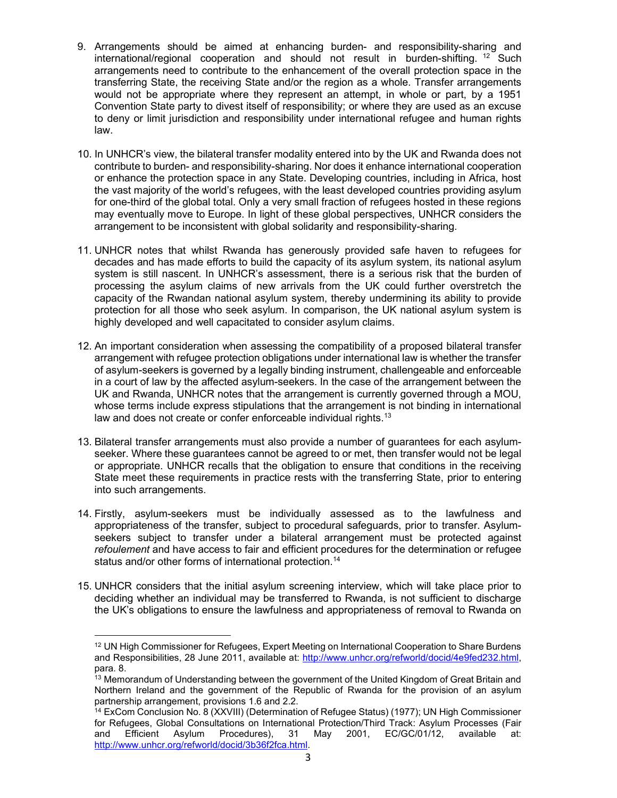- 9. Arrangements should be aimed at enhancing burden- and responsibility-sharing and  $international/regional cooperation and should not result in burden-shifting.<sup>12</sup> Such$ arrangements need to contribute to the enhancement of the overall protection space in the transferring State, the receiving State and/or the region as a whole. Transfer arrangements would not be appropriate where they represent an attempt, in whole or part, by a 1951 Convention State party to divest itself of responsibility; or where they are used as an excuse to deny or limit jurisdiction and responsibility under international refugee and human rights law.
- 10. In UNHCR's view, the bilateral transfer modality entered into by the UK and Rwanda does not contribute to burden- and responsibility-sharing. Nor does it enhance international cooperation or enhance the protection space in any State. Developing countries, including in Africa, host the vast majority of the world's refugees, with the least developed countries providing asylum for one-third of the global total. Only a very small fraction of refugees hosted in these regions may eventually move to Europe. In light of these global perspectives, UNHCR considers the arrangement to be inconsistent with global solidarity and responsibility-sharing.
- 11. UNHCR notes that whilst Rwanda has generously provided safe haven to refugees for decades and has made efforts to build the capacity of its asylum system, its national asylum system is still nascent. In UNHCR's assessment, there is a serious risk that the burden of processing the asylum claims of new arrivals from the UK could further overstretch the capacity of the Rwandan national asylum system, thereby undermining its ability to provide protection for all those who seek asylum. In comparison, the UK national asylum system is highly developed and well capacitated to consider asylum claims.
- 12. An important consideration when assessing the compatibility of a proposed bilateral transfer arrangement with refugee protection obligations under international law is whether the transfer of asylum-seekers is governed by a legally binding instrument, challengeable and enforceable in a court of law by the affected asylum-seekers. In the case of the arrangement between the UK and Rwanda, UNHCR notes that the arrangement is currently governed through a MOU, whose terms include express stipulations that the arrangement is not binding in international law and does not create or confer enforceable individual rights.<sup>13</sup>
- 13. Bilateral transfer arrangements must also provide a number of guarantees for each asylumseeker. Where these guarantees cannot be agreed to or met, then transfer would not be legal or appropriate. UNHCR recalls that the obligation to ensure that conditions in the receiving State meet these requirements in practice rests with the transferring State, prior to entering into such arrangements.
- 14. Firstly, asylum-seekers must be individually assessed as to the lawfulness and appropriateness of the transfer, subject to procedural safeguards, prior to transfer. Asylumseekers subject to transfer under a bilateral arrangement must be protected against refoulement and have access to fair and efficient procedures for the determination or refugee status and/or other forms of international protection.<sup>14</sup>
- 15. UNHCR considers that the initial asylum screening interview, which will take place prior to deciding whether an individual may be transferred to Rwanda, is not sufficient to discharge the UK's obligations to ensure the lawfulness and appropriateness of removal to Rwanda on

<sup>12</sup> UN High Commissioner for Refugees, Expert Meeting on International Cooperation to Share Burdens and Responsibilities, 28 June 2011, available at: http://www.unhcr.org/refworld/docid/4e9fed232.html, para. 8.

<sup>&</sup>lt;sup>13</sup> Memorandum of Understanding between the government of the United Kingdom of Great Britain and Northern Ireland and the government of the Republic of Rwanda for the provision of an asylum partnership arrangement, provisions 1.6 and 2.2.

<sup>14</sup> ExCom Conclusion No. 8 (XXVIII) (Determination of Refugee Status) (1977); UN High Commissioner for Refugees, Global Consultations on International Protection/Third Track: Asylum Processes (Fair and Efficient Asylum Procedures), 31 May 2001, EC/GC/01/12, available at: http://www.unhcr.org/refworld/docid/3b36f2fca.html.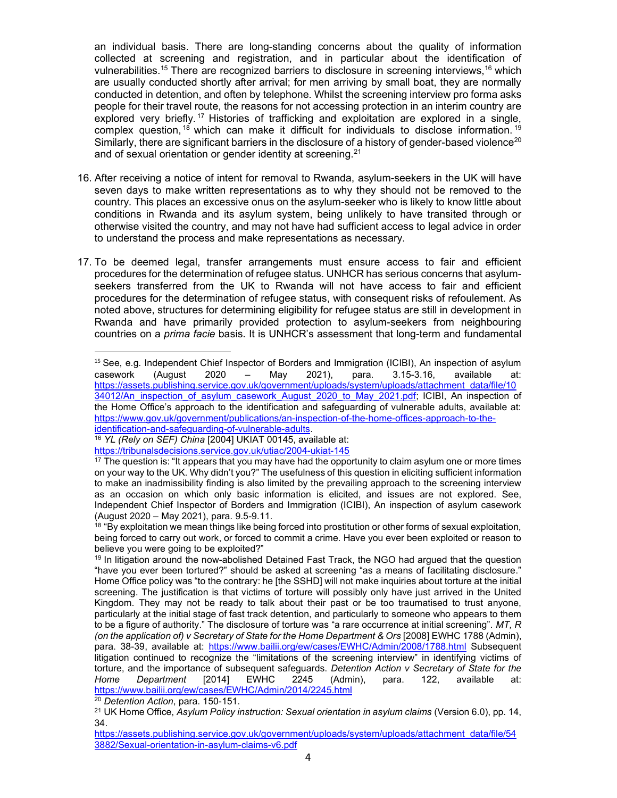an individual basis. There are long-standing concerns about the quality of information collected at screening and registration, and in particular about the identification of vulnerabilities.<sup>15</sup> There are recognized barriers to disclosure in screening interviews,<sup>16</sup> which are usually conducted shortly after arrival; for men arriving by small boat, they are normally conducted in detention, and often by telephone. Whilst the screening interview pro forma asks people for their travel route, the reasons for not accessing protection in an interim country are explored very briefly.<sup>17</sup> Histories of trafficking and exploitation are explored in a single, complex question, <sup>18</sup> which can make it difficult for individuals to disclose information. <sup>19</sup> Similarly, there are significant barriers in the disclosure of a history of gender-based violence<sup>20</sup> and of sexual orientation or gender identity at screening. $21$ 

- 16. After receiving a notice of intent for removal to Rwanda, asylum-seekers in the UK will have seven days to make written representations as to why they should not be removed to the country. This places an excessive onus on the asylum-seeker who is likely to know little about conditions in Rwanda and its asylum system, being unlikely to have transited through or otherwise visited the country, and may not have had sufficient access to legal advice in order to understand the process and make representations as necessary.
- 17. To be deemed legal, transfer arrangements must ensure access to fair and efficient procedures for the determination of refugee status. UNHCR has serious concerns that asylumseekers transferred from the UK to Rwanda will not have access to fair and efficient procedures for the determination of refugee status, with consequent risks of refoulement. As noted above, structures for determining eligibility for refugee status are still in development in Rwanda and have primarily provided protection to asylum-seekers from neighbouring countries on a *prima facie* basis. It is UNHCR's assessment that long-term and fundamental

<sup>&</sup>lt;sup>15</sup> See, e.g. Independent Chief Inspector of Borders and Immigration (ICIBI), An inspection of asylum casework (August 2020 – May 2021), para. 3.15-3.16, available at: https://assets.publishing.service.gov.uk/government/uploads/system/uploads/attachment\_data/file/10 34012/An inspection of asylum casework August 2020 to May 2021.pdf; ICIBI, An inspection of the Home Office's approach to the identification and safeguarding of vulnerable adults, available at: https://www.gov.uk/government/publications/an-inspection-of-the-home-offices-approach-to-theidentification-and-safeguarding-of-vulnerable-adults.

<sup>&</sup>lt;sup>16</sup> YL (Rely on SEF) China [2004] UKIAT 00145, available at:

https://tribunalsdecisions.service.gov.uk/utiac/2004-ukiat-145

 $17$  The question is: "It appears that you may have had the opportunity to claim asylum one or more times on your way to the UK. Why didn't you?" The usefulness of this question in eliciting sufficient information to make an inadmissibility finding is also limited by the prevailing approach to the screening interview as an occasion on which only basic information is elicited, and issues are not explored. See, Independent Chief Inspector of Borders and Immigration (ICIBI), An inspection of asylum casework (August 2020 – May 2021), para. 9.5-9.11.

<sup>&</sup>lt;sup>18</sup> "By exploitation we mean things like being forced into prostitution or other forms of sexual exploitation, being forced to carry out work, or forced to commit a crime. Have you ever been exploited or reason to believe you were going to be exploited?"

<sup>&</sup>lt;sup>19</sup> In litigation around the now-abolished Detained Fast Track, the NGO had argued that the question "have you ever been tortured?" should be asked at screening "as a means of facilitating disclosure." Home Office policy was "to the contrary: he [the SSHD] will not make inquiries about torture at the initial screening. The justification is that victims of torture will possibly only have just arrived in the United Kingdom. They may not be ready to talk about their past or be too traumatised to trust anyone, particularly at the initial stage of fast track detention, and particularly to someone who appears to them to be a figure of authority." The disclosure of torture was "a rare occurrence at initial screening". MT, R (on the application of) v Secretary of State for the Home Department & Ors [2008] EWHC 1788 (Admin), para. 38-39, available at: https://www.bailii.org/ew/cases/EWHC/Admin/2008/1788.html Subsequent litigation continued to recognize the "limitations of the screening interview" in identifying victims of torture, and the importance of subsequent safeguards. Detention Action v Secretary of State for the Home Department [2014] EWHC 2245 (Admin), para. 122, available at: https://www.bailii.org/ew/cases/EWHC/Admin/2014/2245.html

<sup>&</sup>lt;sup>20</sup> Detention Action, para. 150-151.

<sup>&</sup>lt;sup>21</sup> UK Home Office, Asylum Policy instruction: Sexual orientation in asylum claims (Version 6.0), pp. 14, 34.

https://assets.publishing.service.gov.uk/government/uploads/system/uploads/attachment\_data/file/54 3882/Sexual-orientation-in-asylum-claims-v6.pdf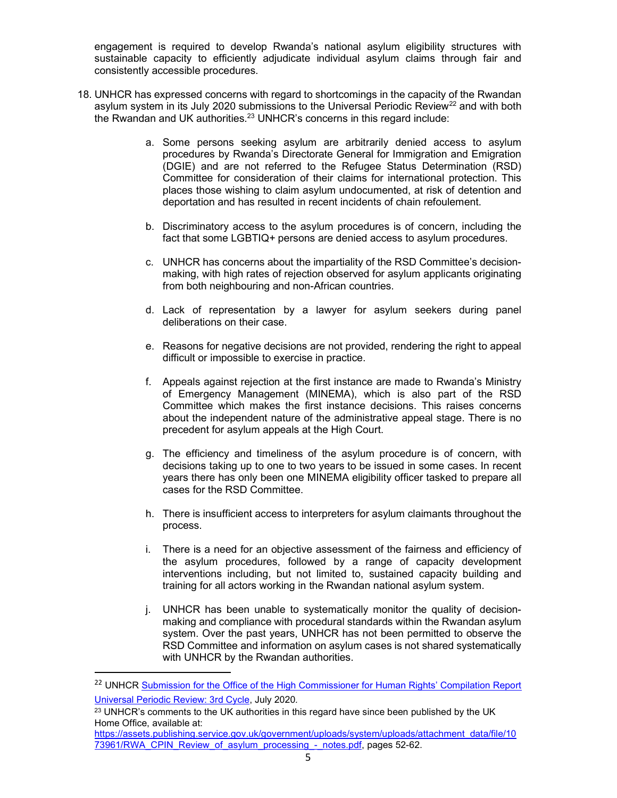engagement is required to develop Rwanda's national asylum eligibility structures with sustainable capacity to efficiently adjudicate individual asylum claims through fair and consistently accessible procedures.

- 18. UNHCR has expressed concerns with regard to shortcomings in the capacity of the Rwandan asylum system in its July 2020 submissions to the Universal Periodic Review<sup>22</sup> and with both the Rwandan and UK authorities. $23$  UNHCR's concerns in this regard include:
	- a. Some persons seeking asylum are arbitrarily denied access to asylum procedures by Rwanda's Directorate General for Immigration and Emigration (DGIE) and are not referred to the Refugee Status Determination (RSD) Committee for consideration of their claims for international protection. This places those wishing to claim asylum undocumented, at risk of detention and deportation and has resulted in recent incidents of chain refoulement.
	- b. Discriminatory access to the asylum procedures is of concern, including the fact that some LGBTIQ+ persons are denied access to asylum procedures.
	- c. UNHCR has concerns about the impartiality of the RSD Committee's decisionmaking, with high rates of rejection observed for asylum applicants originating from both neighbouring and non-African countries.
	- d. Lack of representation by a lawyer for asylum seekers during panel deliberations on their case.
	- e. Reasons for negative decisions are not provided, rendering the right to appeal difficult or impossible to exercise in practice.
	- f. Appeals against rejection at the first instance are made to Rwanda's Ministry of Emergency Management (MINEMA), which is also part of the RSD Committee which makes the first instance decisions. This raises concerns about the independent nature of the administrative appeal stage. There is no precedent for asylum appeals at the High Court.
	- g. The efficiency and timeliness of the asylum procedure is of concern, with decisions taking up to one to two years to be issued in some cases. In recent years there has only been one MINEMA eligibility officer tasked to prepare all cases for the RSD Committee.
	- h. There is insufficient access to interpreters for asylum claimants throughout the process.
	- i. There is a need for an objective assessment of the fairness and efficiency of the asylum procedures, followed by a range of capacity development interventions including, but not limited to, sustained capacity building and training for all actors working in the Rwandan national asylum system.
	- j. UNHCR has been unable to systematically monitor the quality of decisionmaking and compliance with procedural standards within the Rwandan asylum system. Over the past years, UNHCR has not been permitted to observe the RSD Committee and information on asylum cases is not shared systematically with UNHCR by the Rwandan authorities.

https://assets.publishing.service.gov.uk/government/uploads/system/uploads/attachment\_data/file/10 73961/RWA\_CPIN\_Review\_of\_asylum\_processing -\_ notes.pdf, pages 52-62.

<sup>&</sup>lt;sup>22</sup> UNHCR Submission for the Office of the High Commissioner for Human Rights' Compilation Report Universal Periodic Review: 3rd Cycle, July 2020.

<sup>&</sup>lt;sup>23</sup> UNHCR's comments to the UK authorities in this regard have since been published by the UK Home Office, available at: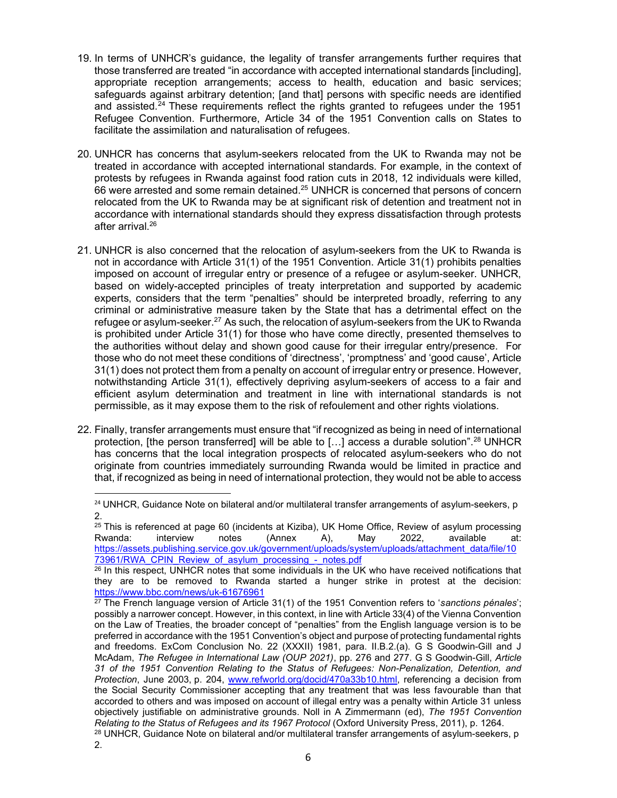- 19. In terms of UNHCR's guidance, the legality of transfer arrangements further requires that those transferred are treated "in accordance with accepted international standards [including], appropriate reception arrangements; access to health, education and basic services; safeguards against arbitrary detention; [and that] persons with specific needs are identified and assisted.<sup>24</sup> These requirements reflect the rights granted to refugees under the 1951 Refugee Convention. Furthermore, Article 34 of the 1951 Convention calls on States to facilitate the assimilation and naturalisation of refugees.
- 20. UNHCR has concerns that asylum-seekers relocated from the UK to Rwanda may not be treated in accordance with accepted international standards. For example, in the context of protests by refugees in Rwanda against food ration cuts in 2018, 12 individuals were killed, 66 were arrested and some remain detained.<sup>25</sup> UNHCR is concerned that persons of concern relocated from the UK to Rwanda may be at significant risk of detention and treatment not in accordance with international standards should they express dissatisfaction through protests after arrival.<sup>26</sup>
- 21. UNHCR is also concerned that the relocation of asylum-seekers from the UK to Rwanda is not in accordance with Article 31(1) of the 1951 Convention. Article 31(1) prohibits penalties imposed on account of irregular entry or presence of a refugee or asylum-seeker. UNHCR, based on widely-accepted principles of treaty interpretation and supported by academic experts, considers that the term "penalties" should be interpreted broadly, referring to any criminal or administrative measure taken by the State that has a detrimental effect on the refugee or asylum-seeker.<sup>27</sup> As such, the relocation of asylum-seekers from the UK to Rwanda is prohibited under Article 31(1) for those who have come directly, presented themselves to the authorities without delay and shown good cause for their irregular entry/presence. For those who do not meet these conditions of 'directness', 'promptness' and 'good cause', Article 31(1) does not protect them from a penalty on account of irregular entry or presence. However, notwithstanding Article 31(1), effectively depriving asylum-seekers of access to a fair and efficient asylum determination and treatment in line with international standards is not permissible, as it may expose them to the risk of refoulement and other rights violations.
- 22. Finally, transfer arrangements must ensure that "if recognized as being in need of international protection, [the person transferred] will be able to [ $\ldots$ ] access a durable solution".<sup>28</sup> UNHCR has concerns that the local integration prospects of relocated asylum-seekers who do not originate from countries immediately surrounding Rwanda would be limited in practice and that, if recognized as being in need of international protection, they would not be able to access

<sup>&</sup>lt;sup>24</sup> UNHCR, Guidance Note on bilateral and/or multilateral transfer arrangements of asylum-seekers, p 2.

<sup>&</sup>lt;sup>25</sup> This is referenced at page 60 (incidents at Kiziba), UK Home Office, Review of asylum processing Rwanda: interview notes (Annex A), May 2022, available at: https://assets.publishing.service.gov.uk/government/uploads/system/uploads/attachment\_data/file/10 73961/RWA\_CPIN\_Review\_of\_asylum\_processing\_-\_notes.pdf

<sup>&</sup>lt;sup>26</sup> In this respect, UNHCR notes that some individuals in the UK who have received notifications that they are to be removed to Rwanda started a hunger strike in protest at the decision: https://www.bbc.com/news/uk-61676961

 $27$  The French language version of Article 31(1) of the 1951 Convention refers to 'sanctions pénales'; possibly a narrower concept. However, in this context, in line with Article 33(4) of the Vienna Convention on the Law of Treaties, the broader concept of "penalties" from the English language version is to be preferred in accordance with the 1951 Convention's object and purpose of protecting fundamental rights and freedoms. ExCom Conclusion No. 22 (XXXII) 1981, para. II.B.2.(a). G S Goodwin-Gill and J McAdam, The Refugee in International Law (OUP 2021), pp. 276 and 277. G S Goodwin-Gill, Article 31 of the 1951 Convention Relating to the Status of Refugees: Non-Penalization, Detention, and Protection, June 2003, p. 204, www.refworld.org/docid/470a33b10.html, referencing a decision from the Social Security Commissioner accepting that any treatment that was less favourable than that accorded to others and was imposed on account of illegal entry was a penalty within Article 31 unless objectively justifiable on administrative grounds. Noll in A Zimmermann (ed), The 1951 Convention Relating to the Status of Refugees and its 1967 Protocol (Oxford University Press, 2011), p. 1264.

<sup>&</sup>lt;sup>28</sup> UNHCR, Guidance Note on bilateral and/or multilateral transfer arrangements of asylum-seekers, p 2.